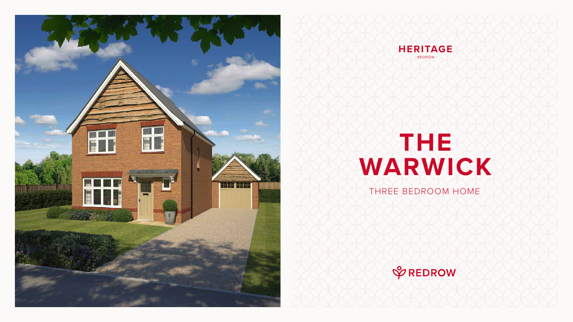# **THE WARWICK**

### THREE BEDROOM HOME







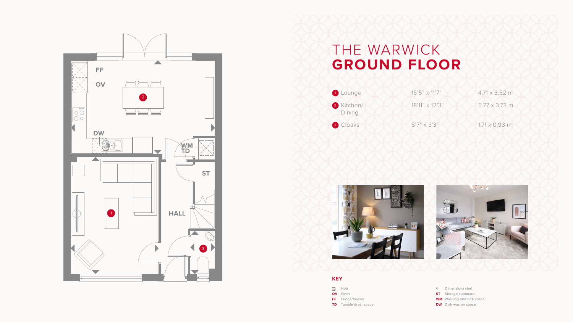## THE WARWICK **GROUND FLOOR**

| 1 Lounge   | $15'5'' \times 11'7''$ | $4.71 \times 3.52$ m |
|------------|------------------------|----------------------|
| 2 Kitchen/ | 18'11" x 12'3"         | $5.77 \times 3.73$ m |

3 Cloaks 5'7" x 3'3" 1.71 x 0.98 m





- Dimensions start
- **ST** Storage cupboard
- **WM** Washing machine space
- **DW** Dish washer space





#### **KEY**

- **SOLUTE:**
- **OV** Oven
- **FF** Fridge/freezer
- **TD** Tumble dryer space